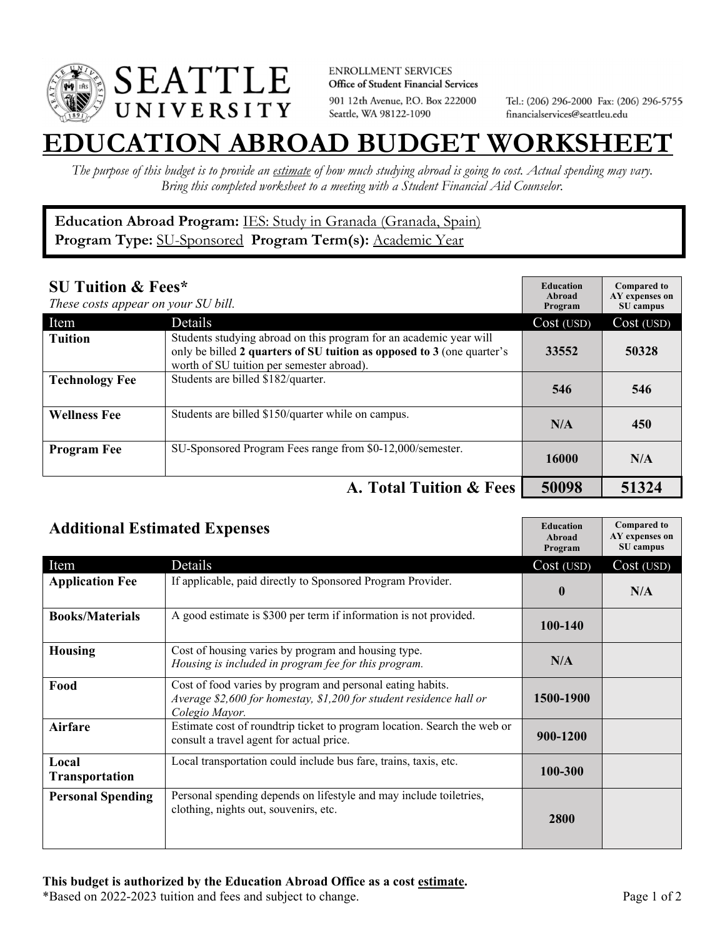

**ENROLLMENT SERVICES** Office of Student Financial Services 901 12th Avenue, P.O. Box 222000 Seattle, WA 98122-1090

Tel.: (206) 296-2000 Fax: (206) 296-5755 financialservices@seattleu.edu

## **EATION ABROAD BUDGET WORKSHEE**

*The purpose of this budget is to provide an estimate of how much studying abroad is going to cost. Actual spending may vary. Bring this completed worksheet to a meeting with a Student Financial Aid Counselor.* 

**Education Abroad Program:** IES: Study in Granada (Granada, Spain) Program Type: **SU-Sponsored** Program Term(s): **Academic Year** 

| <b>SU Tuition &amp; Fees*</b><br>These costs appear on your SU bill. |                                                                                                                                                                                           | <b>Education</b><br>Abroad<br>Program | <b>Compared to</b><br>AY expenses on<br>SU campus |
|----------------------------------------------------------------------|-------------------------------------------------------------------------------------------------------------------------------------------------------------------------------------------|---------------------------------------|---------------------------------------------------|
| Item                                                                 | Details                                                                                                                                                                                   | Cost (USD)                            | Cost (USD)                                        |
| <b>Tuition</b>                                                       | Students studying abroad on this program for an academic year will<br>only be billed 2 quarters of SU tuition as opposed to 3 (one quarter's<br>worth of SU tuition per semester abroad). | 33552                                 | 50328                                             |
| <b>Technology Fee</b>                                                | Students are billed \$182/quarter.                                                                                                                                                        | 546                                   | 546                                               |
| <b>Wellness Fee</b>                                                  | Students are billed \$150/quarter while on campus.                                                                                                                                        | N/A                                   | 450                                               |
| <b>Program Fee</b>                                                   | SU-Sponsored Program Fees range from \$0-12,000/semester.                                                                                                                                 | 16000                                 | N/A                                               |
|                                                                      | A. Total Tuition & Fees                                                                                                                                                                   | 50098                                 | 51324                                             |

| <b>Additional Estimated Expenses</b> |                                                                                                                                                     | <b>Education</b><br>Abroad<br>Program | <b>Compared to</b><br>AY expenses on<br>SU campus |
|--------------------------------------|-----------------------------------------------------------------------------------------------------------------------------------------------------|---------------------------------------|---------------------------------------------------|
| Item                                 | Details                                                                                                                                             | Cost (USD)                            | Cost (USD)                                        |
| <b>Application Fee</b>               | If applicable, paid directly to Sponsored Program Provider.                                                                                         | $\mathbf{0}$                          | N/A                                               |
| <b>Books/Materials</b>               | A good estimate is \$300 per term if information is not provided.                                                                                   | 100-140                               |                                                   |
| <b>Housing</b>                       | Cost of housing varies by program and housing type.<br>Housing is included in program fee for this program.                                         | N/A                                   |                                                   |
| Food                                 | Cost of food varies by program and personal eating habits.<br>Average \$2,600 for homestay, \$1,200 for student residence hall or<br>Colegio Mayor. | 1500-1900                             |                                                   |
| Airfare                              | Estimate cost of roundtrip ticket to program location. Search the web or<br>consult a travel agent for actual price.                                | 900-1200                              |                                                   |
| Local<br>Transportation              | Local transportation could include bus fare, trains, taxis, etc.                                                                                    | 100-300                               |                                                   |
| <b>Personal Spending</b>             | Personal spending depends on lifestyle and may include toiletries,<br>clothing, nights out, souvenirs, etc.                                         | 2800                                  |                                                   |

\*Based on 2022-2023 tuition and fees and subject to change. Page 1 of 2